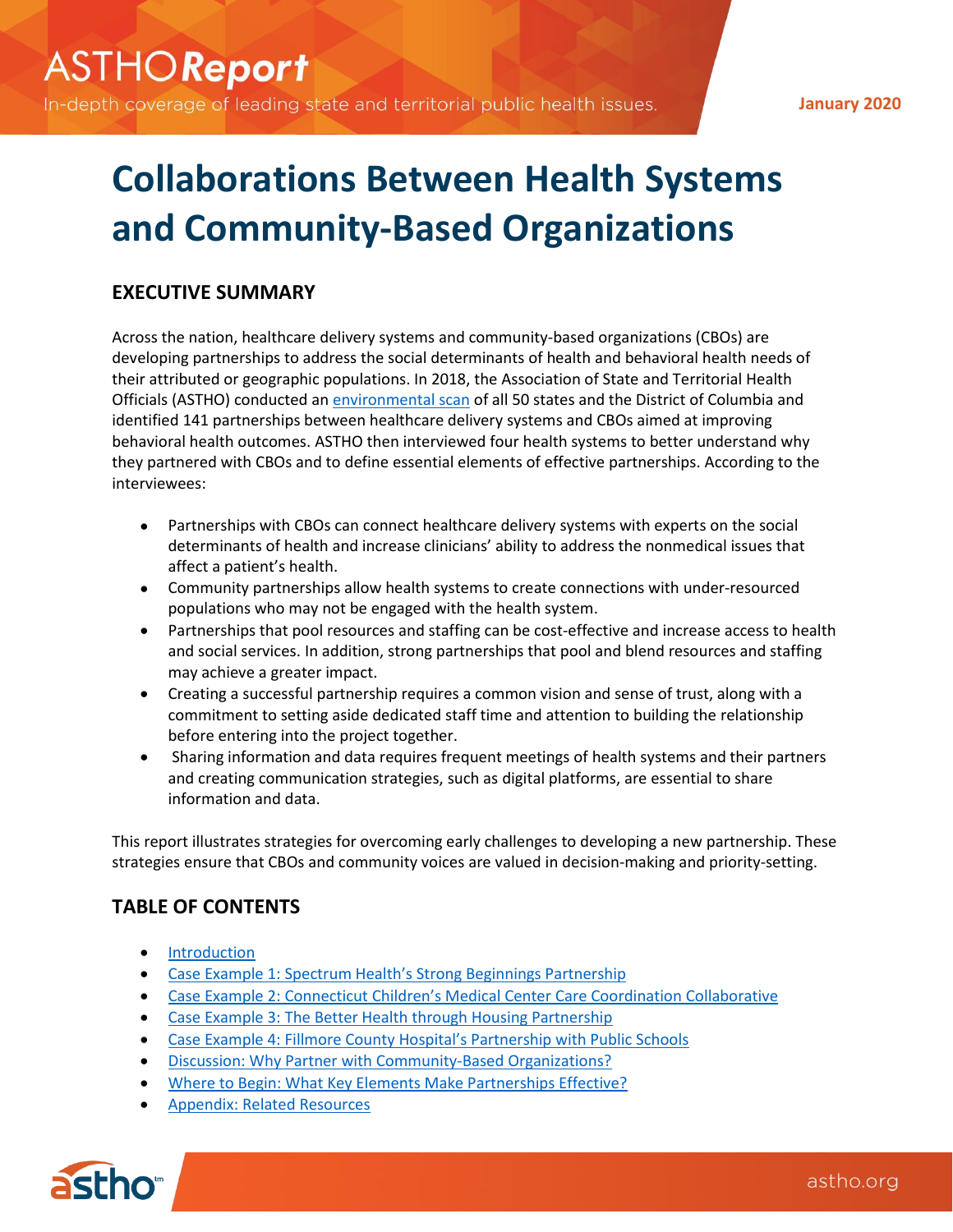In-depth coverage of leading state and territorial public health issues.

**January 2020**

# **Collaborations Between Health Systems and Community-Based Organizations**

# **EXECUTIVE SUMMARY**

Across the nation, healthcare delivery systems and community-based organizations (CBOs) are developing partnerships to address the social determinants of health and behavioral health needs of their attributed or geographic populations. In 2018, the Association of State and Territorial Health Officials (ASTHO) conducted an [environmental scan](http://www.astho.org/Clinical-to-Community-Connections/Documents/Collaborations-Between-Health-Systems-and-Community-Based-Organizations-to-Address-Behavioral-Health/01-08-19/) of all 50 states and the District of Columbia and identified 141 partnerships between healthcare delivery systems and CBOs aimed at improving behavioral health outcomes. ASTHO then interviewed four health systems to better understand why they partnered with CBOs and to define essential elements of effective partnerships. According to the interviewees:

- Partnerships with CBOs can connect healthcare delivery systems with experts on the social determinants of health and increase clinicians' ability to address the nonmedical issues that affect a patient's health.
- Community partnerships allow health systems to create connections with under-resourced populations who may not be engaged with the health system.
- Partnerships that pool resources and staffing can be cost-effective and increase access to health and social services. In addition, strong partnerships that pool and blend resources and staffing may achieve a greater impact.
- Creating a successful partnership requires a common vision and sense of trust, along with a commitment to setting aside dedicated staff time and attention to building the relationship before entering into the project together.
- Sharing information and data requires frequent meetings of health systems and their partners and creating communication strategies, such as digital platforms, are essential to share information and data.

This report illustrates strategies for overcoming early challenges to developing a new partnership. These strategies ensure that CBOs and community voices are valued in decision-making and priority-setting.

# **TABLE OF CONTENTS**

- **[Introduction](#page-1-0)**
- Case Example 1[: Spectrum Health's Strong Beginnings Partnership](#page-1-1)
- Case Example 2[: Connecticut Children's Medical Center Care Coordination](#page-3-0) Collaborative
- [Case Example 3: The Better Health through Housing Partnership](#page-5-0)
- Case Example 4[: Fillmore County Hospital's Partnership with Public Schools](#page-7-0)
- [Discussion: Why Partner with Community-Based Organizations?](#page-7-0)
- [Where to Begin: What Key Elements Make Partnerships Effective?](#page-7-1)
- [Appendix: Related Resources](#page-9-0)

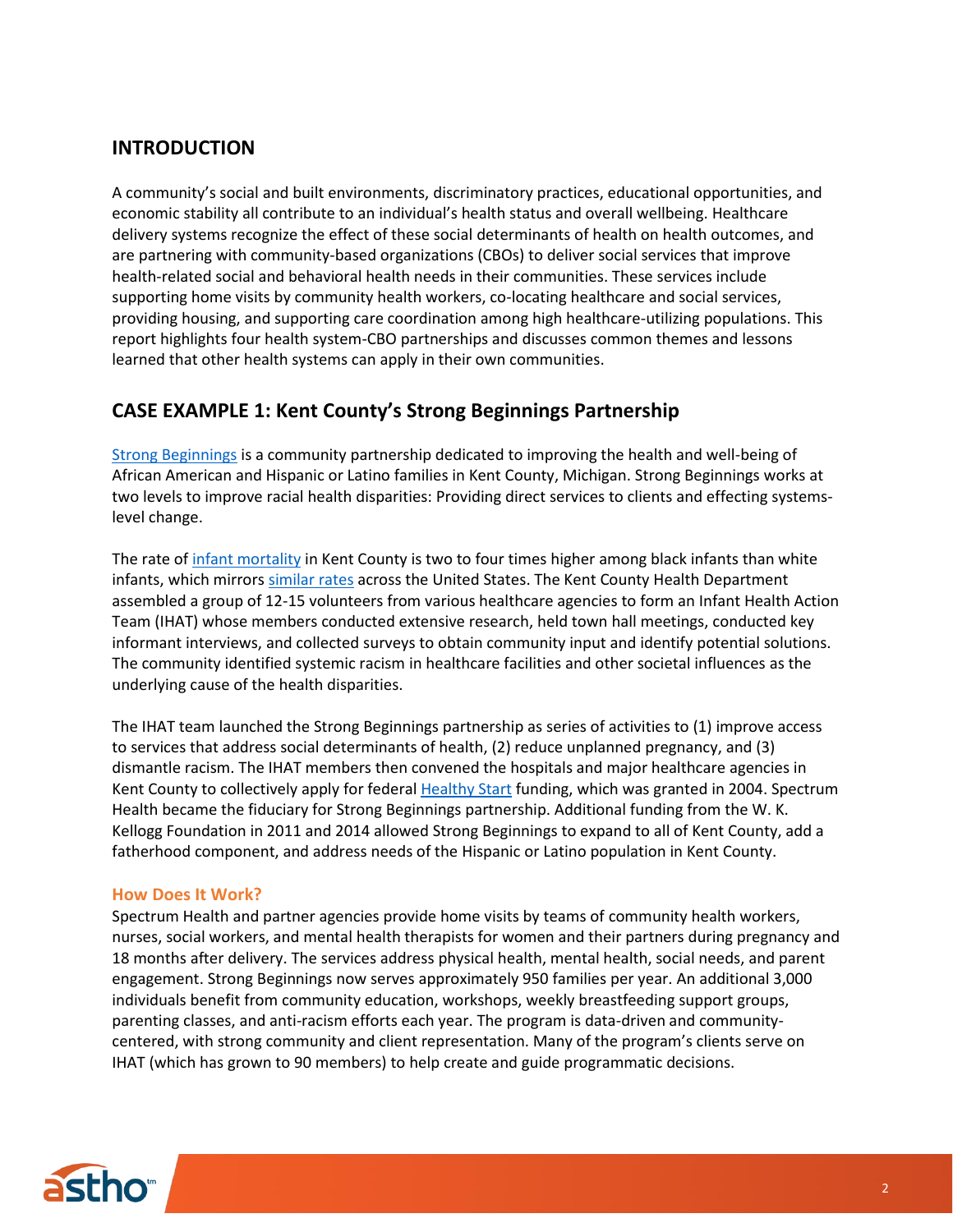# <span id="page-1-0"></span>**INTRODUCTION**

A community's social and built environments, discriminatory practices, educational opportunities, and economic stability all contribute to an individual's health status and overall wellbeing. Healthcare delivery systems recognize the effect of these social determinants of health on health outcomes, and are partnering with community-based organizations (CBOs) to deliver social services that improve health-related social and behavioral health needs in their communities. These services include supporting home visits by community health workers, co-locating healthcare and social services, providing housing, and supporting care coordination among high healthcare-utilizing populations. This report highlights four health system-CBO partnerships and discusses common themes and lessons learned that other health systems can apply in their own communities.

# <span id="page-1-1"></span>**CASE EXAMPLE 1: Kent County's Strong Beginnings Partnership**

Strong [Beginnings](https://www.strongbeginningskent.org/About-Us) is a community partnership dedicated to improving the health and well-being of African American and Hispanic or Latino families in Kent County, Michigan. Strong Beginnings works at two levels to improve racial health disparities: Providing direct services to clients and effecting systemslevel change.

The rate o[f infant mortality](http://www.mdch.state.mi.us/pha/osr/InDxMain/BlackCityTbl.asp) in Kent County is two to four times higher among black infants than white infants, which mirror[s similar](https://minorityhealth.hhs.gov/omh/browse.aspx?lvl=4&lvlid=23) rates across the United States. The Kent County Health Department assembled a group of 12-15 volunteers from various healthcare agencies to form an Infant Health Action Team (IHAT) whose members conducted extensive research, held town hall meetings, conducted key informant interviews, and collected surveys to obtain community input and identify potential solutions. The community identified systemic racism in healthcare facilities and other societal influences as the underlying cause of the health disparities.

The IHAT team launched the Strong Beginnings partnership as series of activities to (1) improve access to services that address social determinants of health, (2) reduce unplanned pregnancy, and (3) dismantle racism. The IHAT members then convened the hospitals and major healthcare agencies in Kent County to collectively apply for federal **Healthy Start funding**, which was granted in 2004. Spectrum Health became the fiduciary for Strong Beginnings partnership. Additional funding from the W. K. Kellogg Foundation in 2011 and 2014 allowed Strong Beginnings to expand to all of Kent County, add a fatherhood component, and address needs of the Hispanic or Latino population in Kent County.

## **How Does It Work?**

Spectrum Health and partner agencies provide home visits by teams of community health workers, nurses, social workers, and mental health therapists for women and their partners during pregnancy and 18 months after delivery. The services address physical health, mental health, social needs, and parent engagement. Strong Beginnings now serves approximately 950 families per year. An additional 3,000 individuals benefit from community education, workshops, weekly breastfeeding support groups, parenting classes, and anti-racism efforts each year. The program is data-driven and communitycentered, with strong community and client representation. Many of the program's clients serve on IHAT (which has grown to 90 members) to help create and guide programmatic decisions.

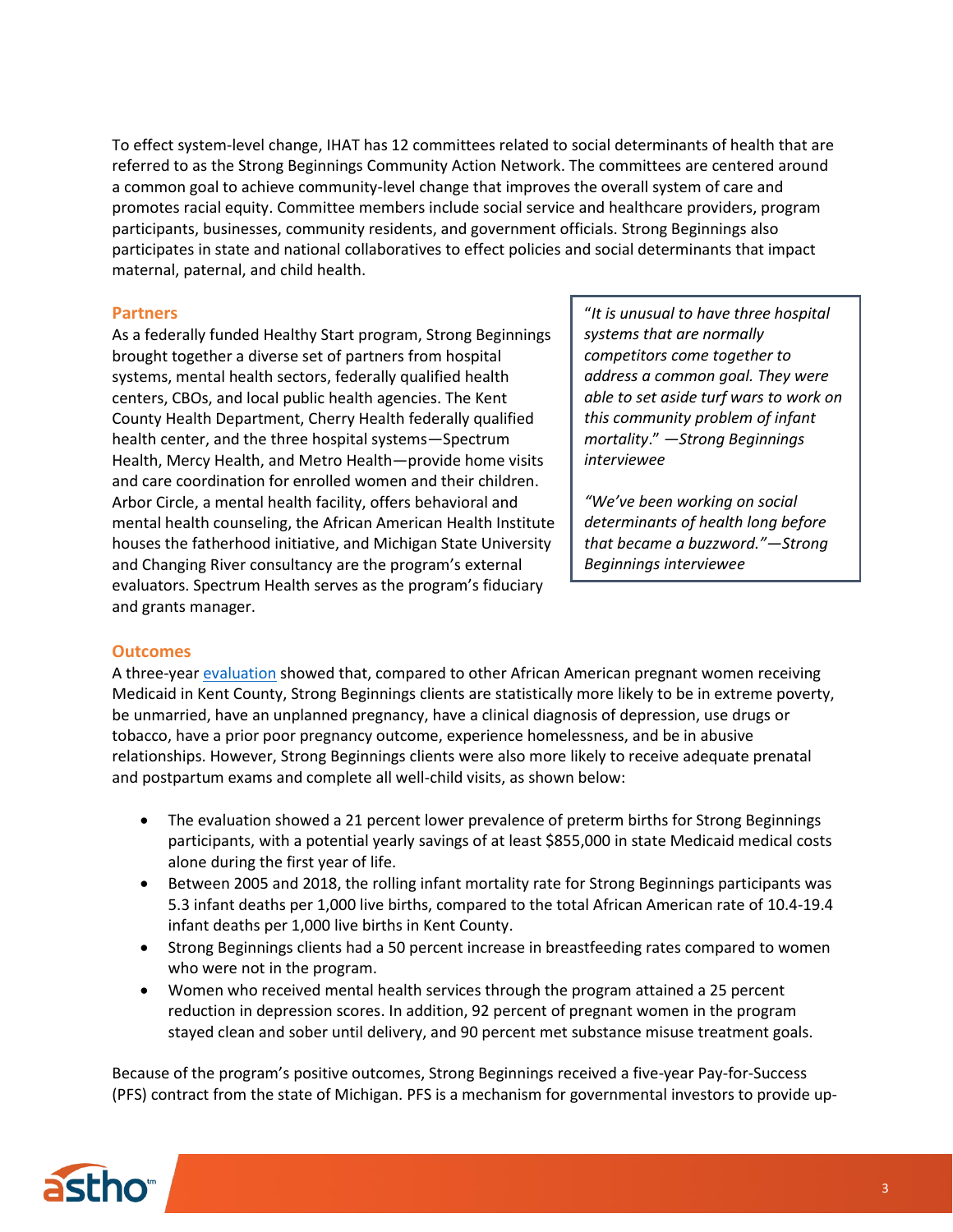To effect system-level change, IHAT has 12 committees related to social determinants of health that are referred to as the Strong Beginnings Community Action Network. The committees are centered around a common goal to achieve community-level change that improves the overall system of care and promotes racial equity. Committee members include social service and healthcare providers, program participants, businesses, community residents, and government officials. Strong Beginnings also participates in state and national collaboratives to effect policies and social determinants that impact maternal, paternal, and child health.

#### **Partners**

As a federally funded Healthy Start program, Strong Beginnings brought together a diverse set of partners from hospital systems, mental health sectors, federally qualified health centers, CBOs, and local public health agencies. The Kent County Health Department, Cherry Health federally qualified health center, and the three hospital systems—Spectrum Health, Mercy Health, and Metro Health—provide home visits and care coordination for enrolled women and their children. Arbor Circle, a mental health facility, offers behavioral and mental health counseling, the African American Health Institute houses the fatherhood initiative, and Michigan State University and Changing River consultancy are the program's external evaluators. Spectrum Health serves as the program's fiduciary and grants manager.

"*It is unusual to have three hospital systems that are normally competitors come together to address a common goal. They were able to set aside turf wars to work on this community problem of infant mortality*." *—Strong Beginnings interviewee*

*"We've been working on social determinants of health long before that became a buzzword."—Strong Beginnings interviewee*

#### **Outcomes**

A three-yea[r evaluation](https://www.wkkf.org/what-we-do/featured-work/strong-beginnings-uses-holistic-approach-to-reduce-infant-mortality-among-communities-of-color) showed that, compared to other African American pregnant women receiving Medicaid in Kent County, Strong Beginnings clients are statistically more likely to be in extreme poverty, be unmarried, have an unplanned pregnancy, have a clinical diagnosis of depression, use drugs or tobacco, have a prior poor pregnancy outcome, experience homelessness, and be in abusive relationships. However, Strong Beginnings clients were also more likely to receive adequate prenatal and postpartum exams and complete all well-child visits, as shown below:

- The evaluation showed a 21 percent lower prevalence of preterm births for Strong Beginnings participants, with a potential yearly savings of at least \$855,000 in state Medicaid medical costs alone during the first year of life.
- Between 2005 and 2018, the rolling infant mortality rate for Strong Beginnings participants was 5.3 infant deaths per 1,000 live births, compared to the total African American rate of 10.4-19.4 infant deaths per 1,000 live births in Kent County.
- Strong Beginnings clients had a 50 percent increase in breastfeeding rates compared to women who were not in the program.
- Women who received mental health services through the program attained a 25 percent reduction in depression scores. In addition, 92 percent of pregnant women in the program stayed clean and sober until delivery, and 90 percent met substance misuse treatment goals.

Because of the program's positive outcomes, Strong Beginnings received a five-year Pay-for-Success (PFS) contract from the state of Michigan. PFS is a mechanism for governmental investors to provide up-

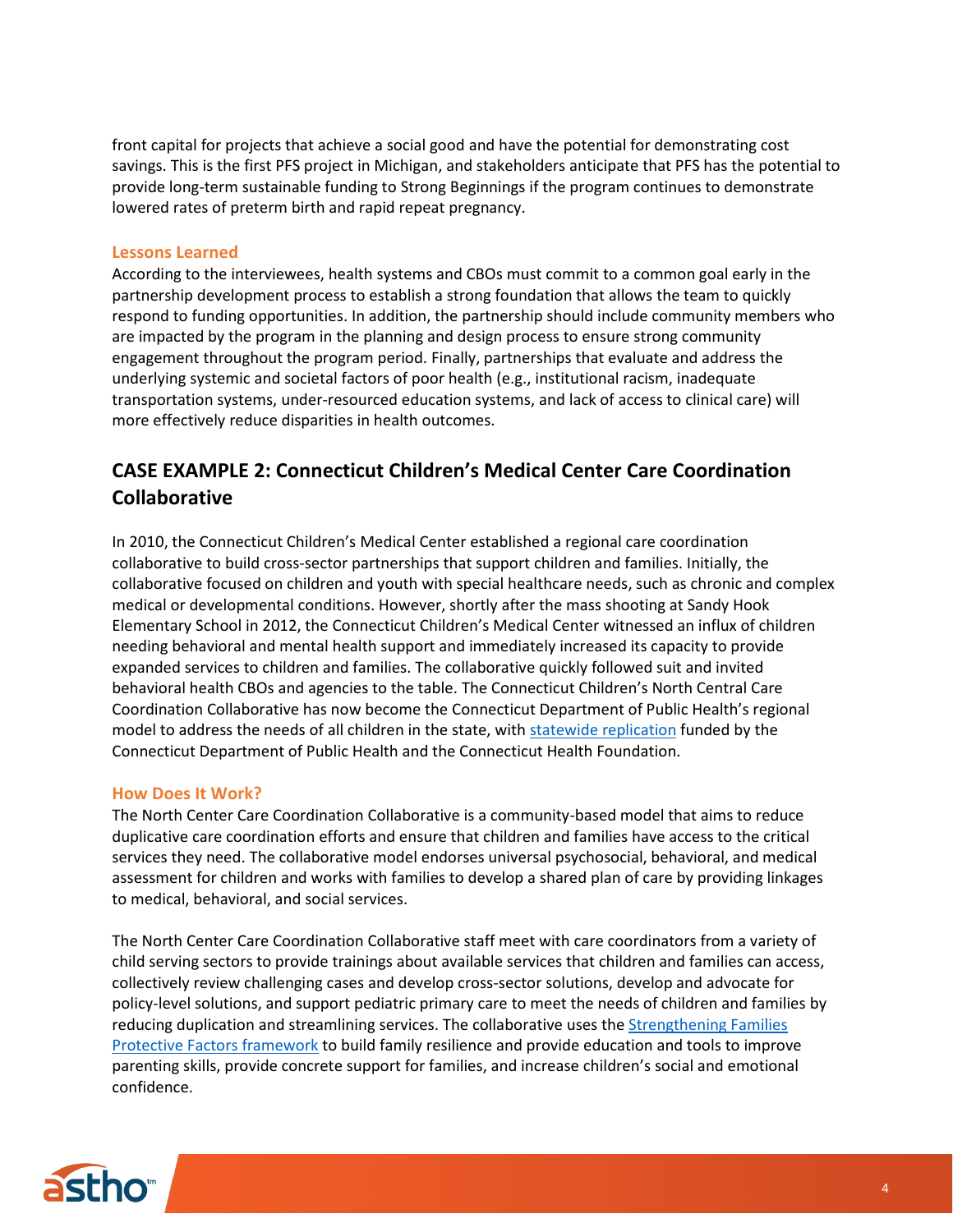front capital for projects that achieve a social good and have the potential for demonstrating cost savings. This is the first PFS project in Michigan, and stakeholders anticipate that PFS has the potential to provide long-term sustainable funding to Strong Beginnings if the program continues to demonstrate lowered rates of preterm birth and rapid repeat pregnancy.

## **Lessons Learned**

According to the interviewees, health systems and CBOs must commit to a common goal early in the partnership development process to establish a strong foundation that allows the team to quickly respond to funding opportunities. In addition, the partnership should include community members who are impacted by the program in the planning and design process to ensure strong community engagement throughout the program period. Finally, partnerships that evaluate and address the underlying systemic and societal factors of poor health (e.g., institutional racism, inadequate transportation systems, under-resourced education systems, and lack of access to clinical care) will more effectively reduce disparities in health outcomes.

# <span id="page-3-0"></span>**CASE EXAMPLE 2: Connecticut Children's Medical Center Care Coordination Collaborative**

In 2010, the Connecticut Children's Medical Center established a regional care coordination collaborative to build cross-sector partnerships that support children and families. Initially, the collaborative focused on children and youth with special healthcare needs, such as chronic and complex medical or developmental conditions. However, shortly after the mass shooting at Sandy Hook Elementary School in 2012, the Connecticut Children's Medical Center witnessed an influx of children needing behavioral and mental health support and immediately increased its capacity to provide expanded services to children and families. The collaborative quickly followed suit and invited behavioral health CBOs and agencies to the table. The Connecticut Children's North Central Care Coordination Collaborative has now become the Connecticut Department of Public Health's regional model to address the needs of all children in the state, wit[h statewide replication](https://www.connecticutchildrens.org/community-child-health/community-child-health-programs/care-coordination-collaborative-model/statewide-replication/) funded by the Connecticut Department of Public Health and the Connecticut Health Foundation.

## **How Does It Work?**

The North Center Care Coordination Collaborative is a community-based model that aims to reduce duplicative care coordination efforts and ensure that children and families have access to the critical services they need. The collaborative model endorses universal psychosocial, behavioral, and medical assessment for children and works with families to develop a shared plan of care by providing linkages to medical, behavioral, and social services.

The North Center Care Coordination Collaborative staff meet with care coordinators from a variety of child serving sectors to provide trainings about available services that children and families can access, collectively review challenging cases and develop cross-sector solutions, develop and advocate for policy-level solutions, and support pediatric primary care to meet the needs of children and families by reducing duplication and streamlining services. The collaborative uses the Strengthening Families [Protective Factors framework](https://www.connecticutchildrens.org/wp-content/uploads/2017/02/ProtectiveFactorsFramework.pdf) to build family resilience and provide education and tools to improve parenting skills, provide concrete support for families, and increase children's social and emotional confidence.

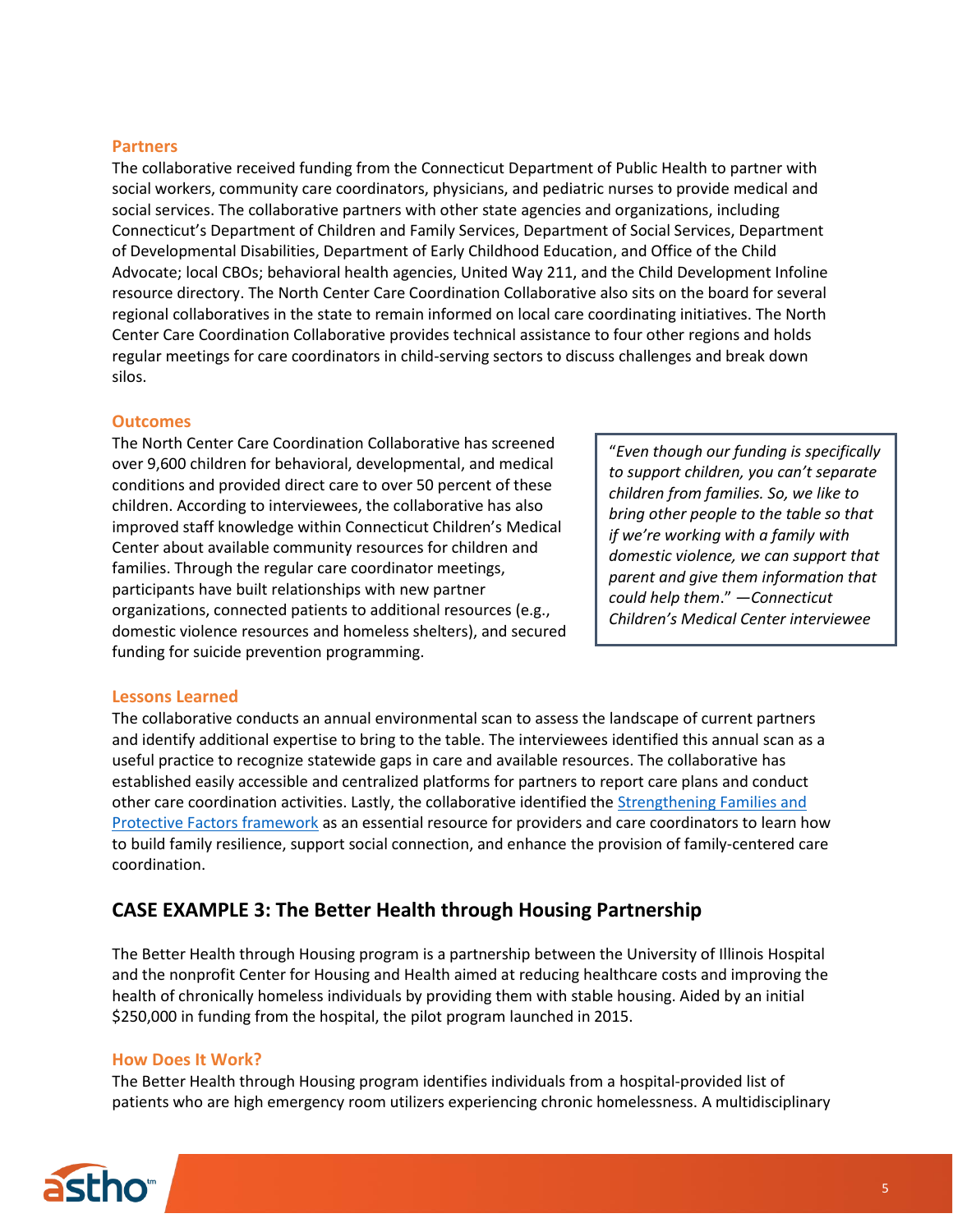## **Partners**

The collaborative received funding from the Connecticut Department of Public Health to partner with social workers, community care coordinators, physicians, and pediatric nurses to provide medical and social services. The collaborative partners with other state agencies and organizations, including Connecticut's Department of Children and Family Services, Department of Social Services, Department of Developmental Disabilities, Department of Early Childhood Education, and Office of the Child Advocate; local CBOs; behavioral health agencies, United Way 211, and the Child Development Infoline resource directory. The North Center Care Coordination Collaborative also sits on the board for several regional collaboratives in the state to remain informed on local care coordinating initiatives. The North Center Care Coordination Collaborative provides technical assistance to four other regions and holds regular meetings for care coordinators in child-serving sectors to discuss challenges and break down silos.

## **Outcomes**

The North Center Care Coordination Collaborative has screened over 9,600 children for behavioral, developmental, and medical conditions and provided direct care to over 50 percent of these children. According to interviewees, the collaborative has also improved staff knowledge within Connecticut Children's Medical Center about available community resources for children and families. Through the regular care coordinator meetings, participants have built relationships with new partner organizations, connected patients to additional resources (e.g., domestic violence resources and homeless shelters), and secured funding for suicide prevention programming.

"*Even though our funding is specifically to support children, you can't separate children from families. So, we like to bring other people to the table so that if we're working with a family with domestic violence, we can support that parent and give them information that could help them*." *—Connecticut Children's Medical Center interviewee*

## **Lessons Learned**

The collaborative conducts an annual environmental scan to assess the landscape of current partners and identify additional expertise to bring to the table. The interviewees identified this annual scan as a useful practice to recognize statewide gaps in care and available resources. The collaborative has established easily accessible and centralized platforms for partners to report care plans and conduct other care coordination activities. Lastly, the collaborative identified the [Strengthening Families and](https://www.connecticutchildrens.org/wp-content/uploads/2017/02/ProtectiveFactorsFramework.pdf)  [Protective Factors framework](https://www.connecticutchildrens.org/wp-content/uploads/2017/02/ProtectiveFactorsFramework.pdf) as an essential resource for providers and care coordinators to learn how to build family resilience, support social connection, and enhance the provision of family-centered care coordination.

# **CASE EXAMPLE 3: The Better Health through Housing Partnership**

The Better Health through Housing program is a partnership between the University of Illinois Hospital and the nonprofit Center for Housing and Health aimed at reducing healthcare costs and improving the health of chronically homeless individuals by providing them with stable housing. Aided by an initial \$250,000 in funding from the hospital, the pilot program launched in 2015.

#### **How Does It Work?**

The Better Health through Housing program identifies individuals from a hospital-provided list of patients who are high emergency room utilizers experiencing chronic homelessness. A multidisciplinary

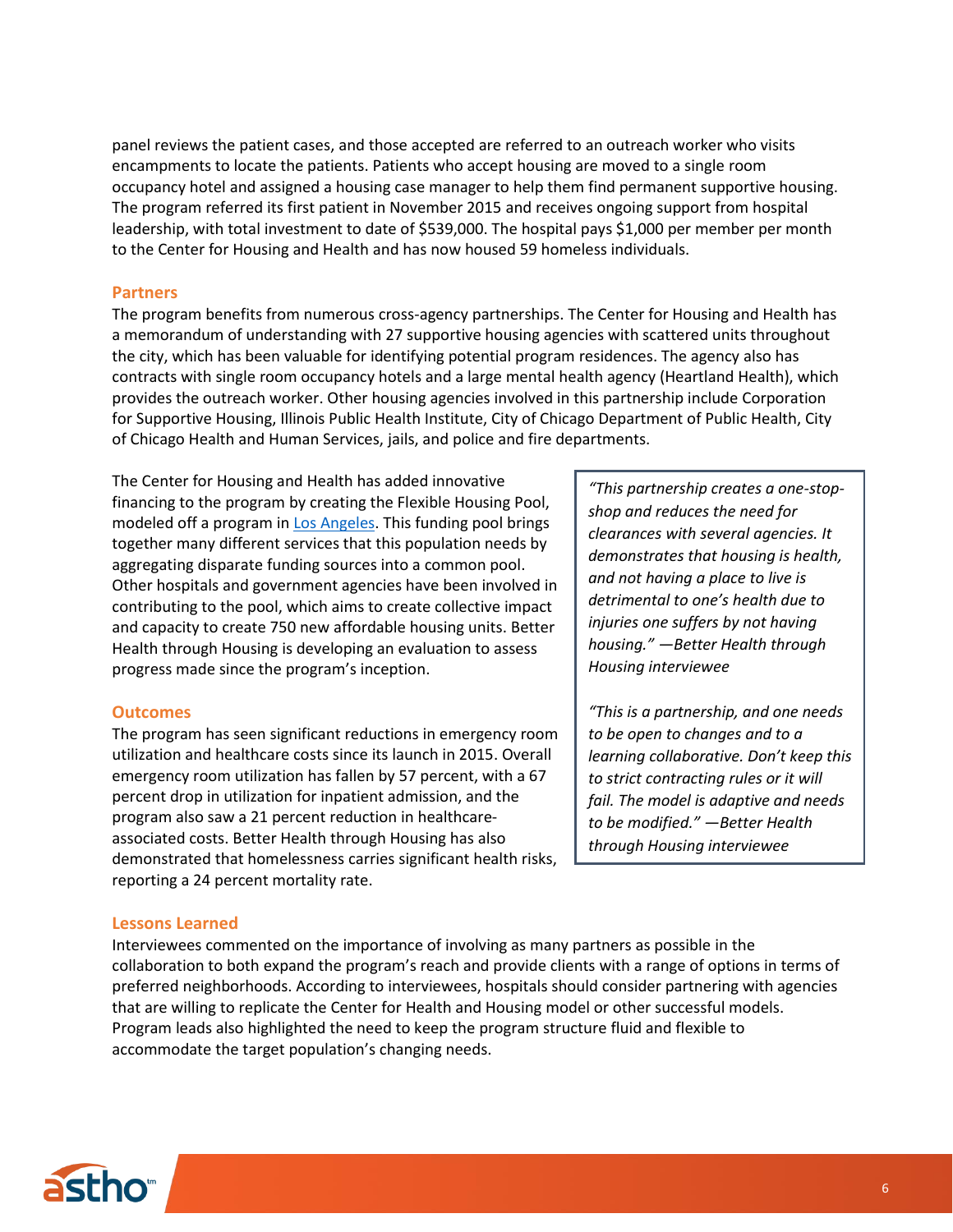panel reviews the patient cases, and those accepted are referred to an outreach worker who visits encampments to locate the patients. Patients who accept housing are moved to a single room occupancy hotel and assigned a housing case manager to help them find permanent supportive housing. The program referred its first patient in November 2015 and receives ongoing support from hospital leadership, with total investment to date of \$539,000. The hospital pays \$1,000 per member per month to the Center for Housing and Health and has now housed 59 homeless individuals.

#### **Partners**

The program benefits from numerous cross-agency partnerships. The Center for Housing and Health has a memorandum of understanding with 27 supportive housing agencies with scattered units throughout the city, which has been valuable for identifying potential program residences. The agency also has contracts with single room occupancy hotels and a large mental health agency (Heartland Health), which provides the outreach worker. Other housing agencies involved in this partnership include Corporation for Supportive Housing, Illinois Public Health Institute, City of Chicago Department of Public Health, City of Chicago Health and Human Services, jails, and police and fire departments.

The Center for Housing and Health has added innovative financing to the program by creating the Flexible Housing Pool, modeled off a program i[n Los Angeles.](https://www.hiltonfoundation.org/learning/history-and-takeaways-from-los-angeles-county-s-flexible-house-subsidy-pool) This funding pool brings together many different services that this population needs by aggregating disparate funding sources into a common pool. Other hospitals and government agencies have been involved in contributing to the pool, which aims to create collective impact and capacity to create 750 new affordable housing units. Better Health through Housing is developing an evaluation to assess progress made since the program's inception.

#### **Outcomes**

The program has seen significant reductions in emergency room utilization and healthcare costs since its launch in 2015. Overall emergency room utilization has fallen by 57 percent, with a 67 percent drop in utilization for inpatient admission, and the program also saw a 21 percent reduction in healthcareassociated costs. Better Health through Housing has also demonstrated that homelessness carries significant health risks, reporting a 24 percent mortality rate.

## *"This partnership creates a one-stopshop and reduces the need for clearances with several agencies. It demonstrates that housing is health, and not having a place to live is detrimental to one's health due to injuries one suffers by not having housing." —Better Health through Housing interviewee*

<span id="page-5-0"></span>*"This is a partnership, and one needs to be open to changes and to a learning collaborative. Don't keep this to strict contracting rules or it will fail. The model is adaptive and needs to be modified." —Better Health through Housing interviewee*

#### **Lessons Learned**

Interviewees commented on the importance of involving as many partners as possible in the collaboration to both expand the program's reach and provide clients with a range of options in terms of preferred neighborhoods. According to interviewees, hospitals should consider partnering with agencies that are willing to replicate the Center for Health and Housing model or other successful models. Program leads also highlighted the need to keep the program structure fluid and flexible to accommodate the target population's changing needs.

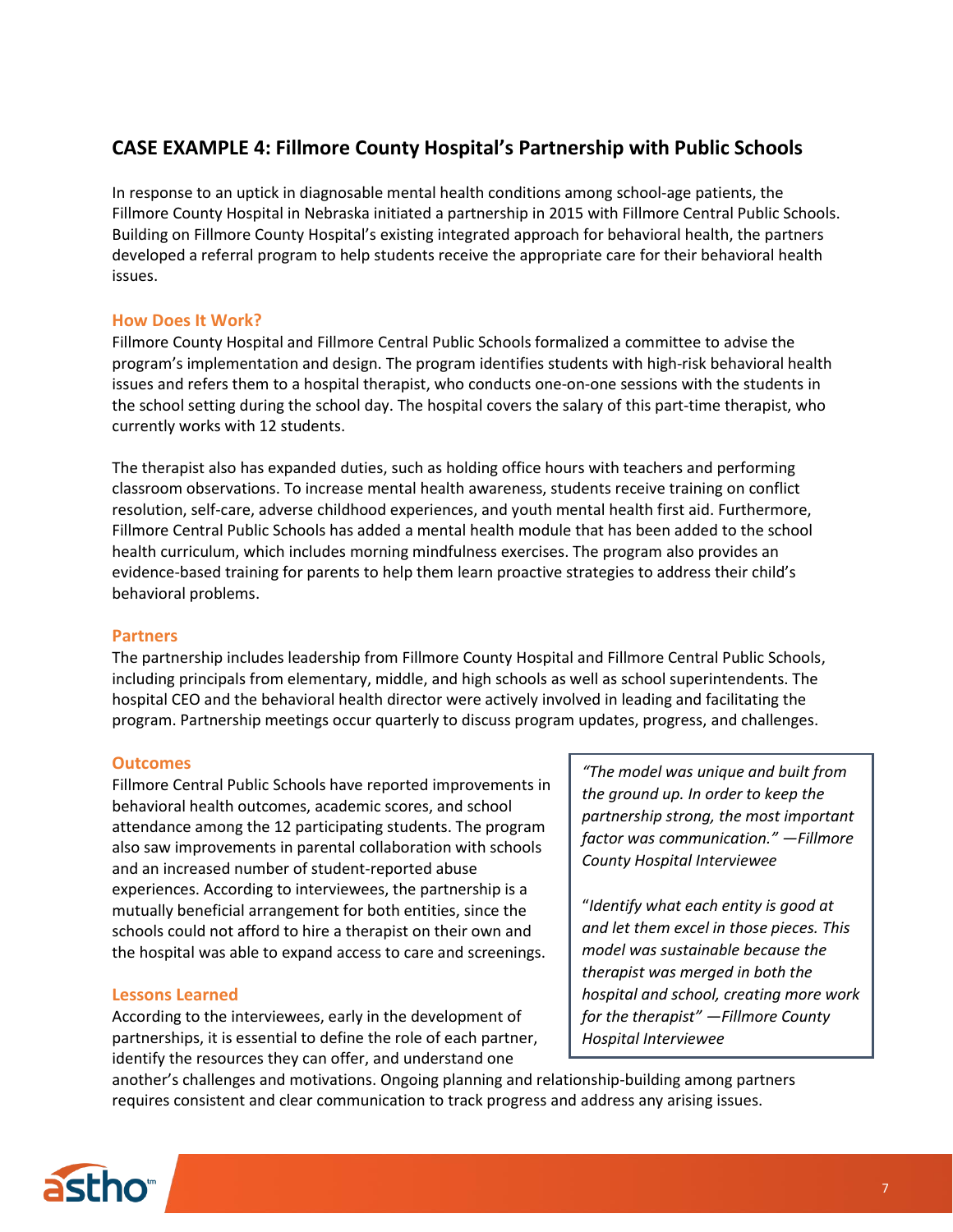# **CASE EXAMPLE 4: Fillmore County Hospital's Partnership with Public Schools**

In response to an uptick in diagnosable mental health conditions among school-age patients, the Fillmore County Hospital in Nebraska initiated a partnership in 2015 with Fillmore Central Public Schools. Building on Fillmore County Hospital's existing integrated approach for behavioral health, the partners developed a referral program to help students receive the appropriate care for their behavioral health issues.

## **How Does It Work?**

Fillmore County Hospital and Fillmore Central Public Schools formalized a committee to advise the program's implementation and design. The program identifies students with high-risk behavioral health issues and refers them to a hospital therapist, who conducts one-on-one sessions with the students in the school setting during the school day. The hospital covers the salary of this part-time therapist, who currently works with 12 students.

The therapist also has expanded duties, such as holding office hours with teachers and performing classroom observations. To increase mental health awareness, students receive training on conflict resolution, self-care, adverse childhood experiences, and youth mental health first aid. Furthermore, Fillmore Central Public Schools has added a mental health module that has been added to the school health curriculum, which includes morning mindfulness exercises. The program also provides an evidence-based training for parents to help them learn proactive strategies to address their child's behavioral problems.

## **Partners**

The partnership includes leadership from Fillmore County Hospital and Fillmore Central Public Schools, including principals from elementary, middle, and high schools as well as school superintendents. The hospital CEO and the behavioral health director were actively involved in leading and facilitating the program. Partnership meetings occur quarterly to discuss program updates, progress, and challenges.

## **Outcomes**

Fillmore Central Public Schools have reported improvements in behavioral health outcomes, academic scores, and school attendance among the 12 participating students. The program also saw improvements in parental collaboration with schools and an increased number of student-reported abuse experiences. According to interviewees, the partnership is a mutually beneficial arrangement for both entities, since the schools could not afford to hire a therapist on their own and the hospital was able to expand access to care and screenings.

## **Lessons Learned**

According to the interviewees, early in the development of partnerships, it is essential to define the role of each partner, identify the resources they can offer, and understand one

*"The model was unique and built from the ground up. In order to keep the partnership strong, the most important factor was communication." —Fillmore County Hospital Interviewee* 

"*Identify what each entity is good at and let them excel in those pieces. This model was sustainable because the therapist was merged in both the hospital and school, creating more work for the therapist" —Fillmore County Hospital Interviewee*

another's challenges and motivations. Ongoing planning and relationship-building among partners requires consistent and clear communication to track progress and address any arising issues.

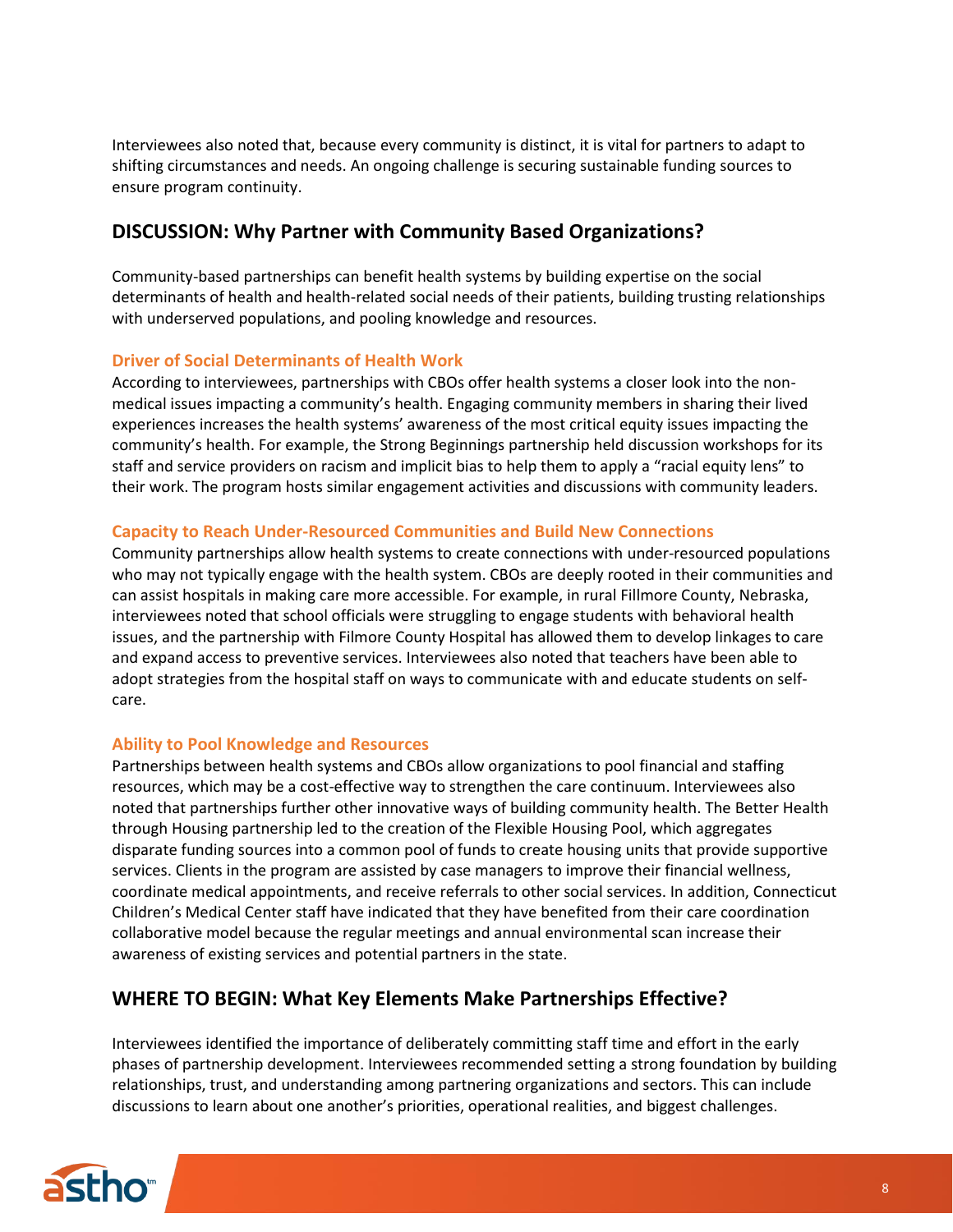Interviewees also noted that, because every community is distinct, it is vital for partners to adapt to shifting circumstances and needs. An ongoing challenge is securing sustainable funding sources to ensure program continuity.

# <span id="page-7-0"></span>**DISCUSSION: Why Partner with Community Based Organizations?**

Community-based partnerships can benefit health systems by building expertise on the social determinants of health and health-related social needs of their patients, building trusting relationships with underserved populations, and pooling knowledge and resources.

## **Driver of Social Determinants of Health Work**

According to interviewees, partnerships with CBOs offer health systems a closer look into the nonmedical issues impacting a community's health. Engaging community members in sharing their lived experiences increases the health systems' awareness of the most critical equity issues impacting the community's health. For example, the Strong Beginnings partnership held discussion workshops for its staff and service providers on racism and implicit bias to help them to apply a "racial equity lens" to their work. The program hosts similar engagement activities and discussions with community leaders.

## **Capacity to Reach Under-Resourced Communities and Build New Connections**

Community partnerships allow health systems to create connections with under-resourced populations who may not typically engage with the health system. CBOs are deeply rooted in their communities and can assist hospitals in making care more accessible. For example, in rural Fillmore County, Nebraska, interviewees noted that school officials were struggling to engage students with behavioral health issues, and the partnership with Filmore County Hospital has allowed them to develop linkages to care and expand access to preventive services. Interviewees also noted that teachers have been able to adopt strategies from the hospital staff on ways to communicate with and educate students on selfcare.

## **Ability to Pool Knowledge and Resources**

Partnerships between health systems and CBOs allow organizations to pool financial and staffing resources, which may be a cost-effective way to strengthen the care continuum. Interviewees also noted that partnerships further other innovative ways of building community health. The Better Health through Housing partnership led to the creation of the Flexible Housing Pool, which aggregates disparate funding sources into a common pool of funds to create housing units that provide supportive services. Clients in the program are assisted by case managers to improve their financial wellness, coordinate medical appointments, and receive referrals to other social services. In addition, Connecticut Children's Medical Center staff have indicated that they have benefited from their care coordination collaborative model because the regular meetings and annual environmental scan increase their awareness of existing services and potential partners in the state.

# <span id="page-7-1"></span>**WHERE TO BEGIN: What Key Elements Make Partnerships Effective?**

Interviewees identified the importance of deliberately committing staff time and effort in the early phases of partnership development. Interviewees recommended setting a strong foundation by building relationships, trust, and understanding among partnering organizations and sectors. This can include discussions to learn about one another's priorities, operational realities, and biggest challenges.

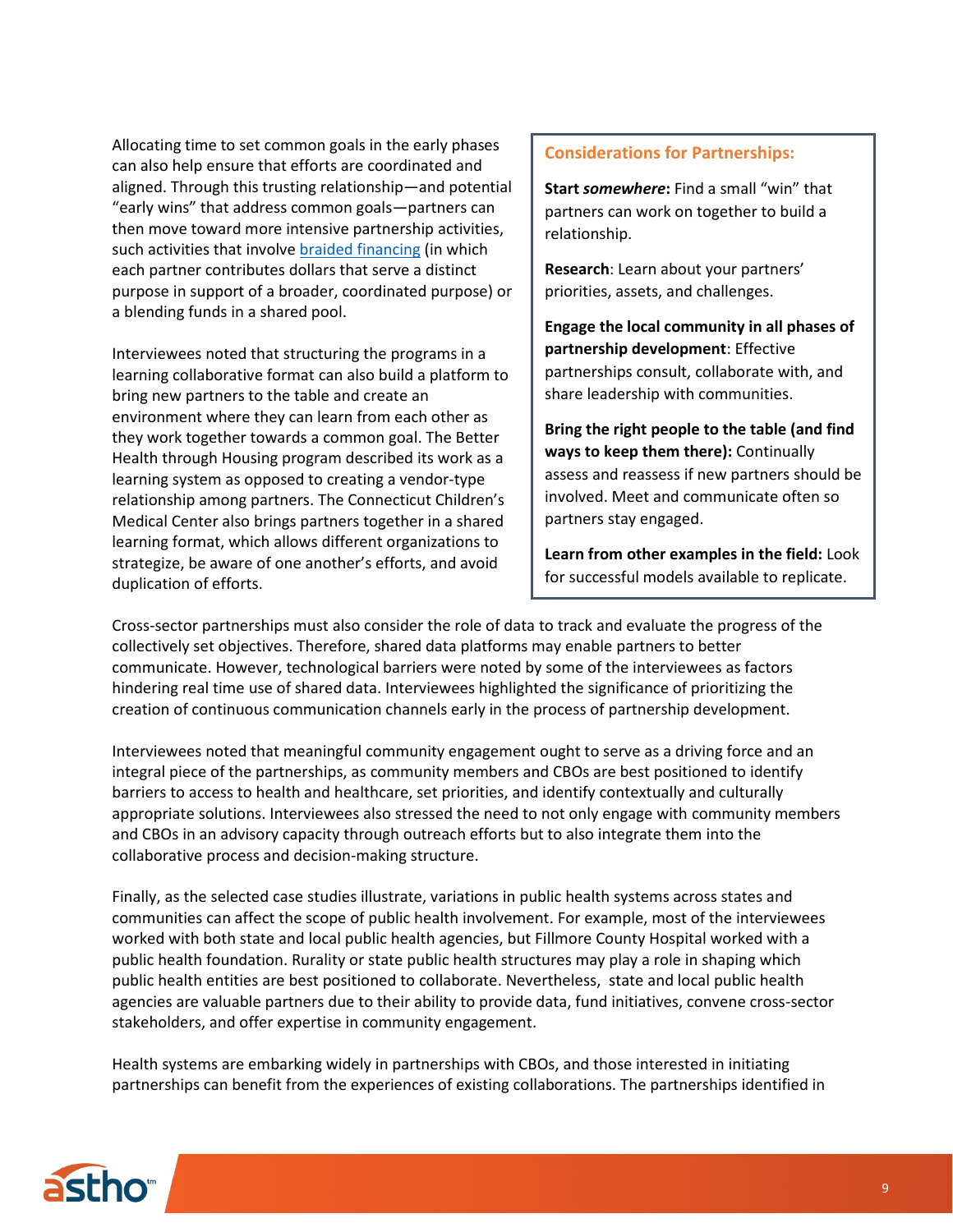Allocating time to set common goals in the early phases can also help ensure that efforts are coordinated and aligned. Through this trusting relationship—and potential "early wins" that address common goals—partners can then move toward more intensive partnership activities, such activities that involve [braided financing](https://astho.org/Health-Systems-Transformation/Medicaid-and-Public-Health-Partnerships/Documents/Blending-Braiding-and-Block-Granting-Funds-for-PH/) (in which each partner contributes dollars that serve a distinct purpose in support of a broader, coordinated purpose) or a blending funds in a shared pool.

Interviewees noted that structuring the programs in a learning collaborative format can also build a platform to bring new partners to the table and create an environment where they can learn from each other as they work together towards a common goal. The Better Health through Housing program described its work as a learning system as opposed to creating a vendor-type relationship among partners. The Connecticut Children's Medical Center also brings partners together in a shared learning format, which allows different organizations to strategize, be aware of one another's efforts, and avoid duplication of efforts.

## **Considerations for Partnerships:**

**Start** *somewhere***:** Find a small "win" that partners can work on together to build a relationship.

**Research**: Learn about your partners' priorities, assets, and challenges.

**Engage the local community in all phases of partnership development**: Effective partnerships consult, collaborate with, and share leadership with communities.

**Bring the right people to the table (and find ways to keep them there):** Continually assess and reassess if new partners should be involved. Meet and communicate often so partners stay engaged.

**Learn from other examples in the field:** Look for successful models available to replicate.

Cross-sector partnerships must also consider the role of data to track and evaluate the progress of the collectively set objectives. Therefore, shared data platforms may enable partners to better communicate. However, technological barriers were noted by some of the interviewees as factors hindering real time use of shared data. Interviewees highlighted the significance of prioritizing the creation of continuous communication channels early in the process of partnership development.

Interviewees noted that meaningful community engagement ought to serve as a driving force and an integral piece of the partnerships, as community members and CBOs are best positioned to identify barriers to access to health and healthcare, set priorities, and identify contextually and culturally appropriate solutions. Interviewees also stressed the need to not only engage with community members and CBOs in an advisory capacity through outreach efforts but to also integrate them into the collaborative process and decision-making structure.

Finally, as the selected case studies illustrate, variations in public health systems across states and communities can affect the scope of public health involvement. For example, most of the interviewees worked with both state and local public health agencies, but Fillmore County Hospital worked with a public health foundation. Rurality or state public health structures may play a role in shaping which public health entities are best positioned to collaborate. Nevertheless, state and local public health agencies are valuable partners due to their ability to provide data, fund initiatives, convene cross-sector stakeholders, and offer expertise in community engagement.

Health systems are embarking widely in partnerships with CBOs, and those interested in initiating partnerships can benefit from the experiences of existing collaborations. The partnerships identified in